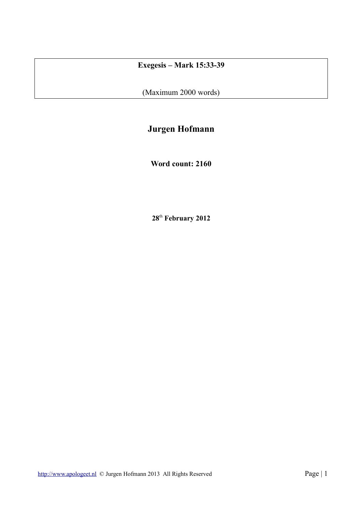# **Exegesis – Mark 15:33-39**

(Maximum 2000 words)

# **Jurgen Hofmann**

**Word count: 2160**

**28**th **February 2012**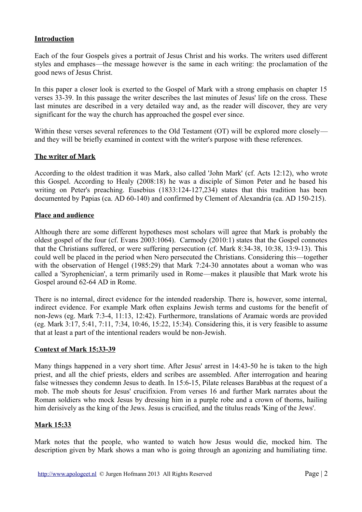### **Introduction**

Each of the four Gospels gives a portrait of Jesus Christ and his works. The writers used different styles and emphases—the message however is the same in each writing: the proclamation of the good news of Jesus Christ.

In this paper a closer look is exerted to the Gospel of Mark with a strong emphasis on chapter 15 verses 33-39. In this passage the writer describes the last minutes of Jesus' life on the cross. These last minutes are described in a very detailed way and, as the reader will discover, they are very significant for the way the church has approached the gospel ever since.

Within these verses several references to the Old Testament (OT) will be explored more closely and they will be briefly examined in context with the writer's purpose with these references.

#### **The writer of Mark**

According to the oldest tradition it was Mark, also called 'John Mark' (cf. Acts 12:12), who wrote this Gospel. According to Healy (2008:18) he was a disciple of Simon Peter and he based his writing on Peter's preaching. Eusebius (1833:124-127,234) states that this tradition has been documented by Papias (ca. AD 60-140) and confirmed by Clement of Alexandria (ca. AD 150-215).

#### **Place and audience**

Although there are some different hypotheses most scholars will agree that Mark is probably the oldest gospel of the four (cf. Evans 2003:1064). Carmody (2010:1) states that the Gospel connotes that the Christians suffered, or were suffering persecution (cf. Mark 8:34-38, 10:38, 13:9-13). This could well be placed in the period when Nero persecuted the Christians. Considering this—together with the observation of Hengel (1985:29) that Mark 7:24-30 annotates about a woman who was called a 'Syrophenician', a term primarily used in Rome—makes it plausible that Mark wrote his Gospel around 62-64 AD in Rome.

There is no internal, direct evidence for the intended readership. There is, however, some internal, indirect evidence. For example Mark often explains Jewish terms and customs for the benefit of non-Jews (eg. Mark 7:3-4, 11:13, 12:42). Furthermore, translations of Aramaic words are provided (eg. Mark 3:17, 5:41, 7:11, 7:34, 10:46, 15:22, 15:34). Considering this, it is very feasible to assume that at least a part of the intentional readers would be non-Jewish.

#### **Context of Mark 15:33-39**

Many things happened in a very short time. After Jesus' arrest in 14:43-50 he is taken to the high priest, and all the chief priests, elders and scribes are assembled. After interrogation and hearing false witnesses they condemn Jesus to death. In 15:6-15, Pilate releases Barabbas at the request of a mob. The mob shouts for Jesus' crucifixion. From verses 16 and further Mark narrates about the Roman soldiers who mock Jesus by dressing him in a purple robe and a crown of thorns, hailing him derisively as the king of the Jews. Jesus is crucified, and the titulus reads 'King of the Jews'.

### **Mark 15:33**

Mark notes that the people, who wanted to watch how Jesus would die, mocked him. The description given by Mark shows a man who is going through an agonizing and humiliating time.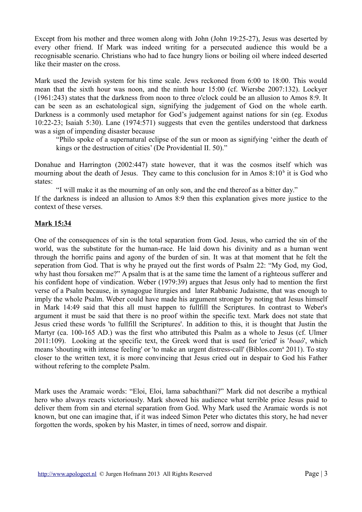Except from his mother and three women along with John (John 19:25-27), Jesus was deserted by every other friend. If Mark was indeed writing for a persecuted audience this would be a recognisable scenario. Christians who had to face hungry lions or boiling oil where indeed deserted like their master on the cross.

Mark used the Jewish system for his time scale. Jews reckoned from 6:00 to 18:00. This would mean that the sixth hour was noon, and the ninth hour 15:00 (cf. Wiersbe 2007:132). Lockyer (1961:243) states that the darkness from noon to three o'clock could be an allusion to Amos 8:9. It can be seen as an eschatological sign, signifying the judgement of God on the whole earth. Darkness is a commonly used metaphor for God's judgement against nations for sin (eg. Exodus 10:22-23; Isaiah 5:30). Lane (1974:571) suggests that even the gentiles understood that darkness was a sign of impending disaster because

"Philo spoke of a supernatural eclipse of the sun or moon as signifying 'either the death of kings or the destruction of cities' (De Providential II. 50)."

Donahue and Harrington (2002:447) state however, that it was the cosmos itself which was mourning about the death of Jesus. They came to this conclusion for in Amos  $8:10<sup>b</sup>$  it is God who states:

"I will make it as the mourning of an only son, and the end thereof as a bitter day." If the darkness is indeed an allusion to Amos 8:9 then this explanation gives more justice to the context of these verses.

### **Mark 15:34**

One of the consequences of sin is the total separation from God. Jesus, who carried the sin of the world, was the substitute for the human-race. He laid down his divinity and as a human went through the horrific pains and agony of the burden of sin. It was at that moment that he felt the seperation from God. That is why he prayed out the first words of Psalm 22: "My God, my God, why hast thou forsaken me?" A psalm that is at the same time the lament of a righteous sufferer and his confident hope of vindication. Weber (1979:39) argues that Jesus only had to mention the first verse of a Psalm because, in synagogue liturgies and later Rabbanic Judaisme, that was enough to imply the whole Psalm. Weber could have made his argument stronger by noting that Jesus himself in Mark 14:49 said that this all must happen to fullfill the Scriptures. In contrast to Weber's argument it must be said that there is no proof within the specific text. Mark does not state that Jesus cried these words 'to fullfill the Scriptures'. In addition to this, it is thought that Justin the Martyr (ca. 100-165 AD.) was the first who attributed this Psalm as a whole to Jesus (cf. Ulmer 2011:109). Looking at the specific text, the Greek word that is used for 'cried' is '*boaó*', which means 'shouting with intense feeling' or 'to make an urgent distress-call' (Biblos.com<sup>a</sup> 2011). To stay closer to the written text, it is more convincing that Jesus cried out in despair to God his Father without refering to the complete Psalm.

Mark uses the Aramaic words: "Eloi, Eloi, lama sabachthani?" Mark did not describe a mythical hero who always reacts victoriously. Mark showed his audience what terrible price Jesus paid to deliver them from sin and eternal separation from God. Why Mark used the Aramaic words is not known, but one can imagine that, if it was indeed Simon Peter who dictates this story, he had never forgotten the words, spoken by his Master, in times of need, sorrow and dispair.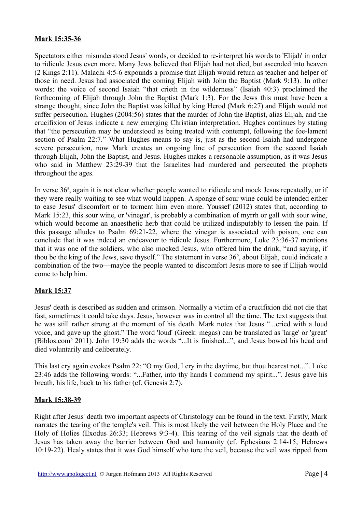## **Mark 15:35-36**

Spectators either misunderstood Jesus' words, or decided to re-interpret his words to 'Elijah' in order to ridicule Jesus even more. Many Jews believed that Elijah had not died, but ascended into heaven (2 Kings 2:11). Malachi 4:5-6 expounds a promise that Elijah would return as teacher and helper of those in need. Jesus had associated the coming Elijah with John the Baptist (Mark 9:13). In other words: the voice of second Isaiah "that crieth in the wilderness" (Isaiah 40:3) proclaimed the forthcoming of Elijah through John the Baptist (Mark 1:3). For the Jews this must have been a strange thought, since John the Baptist was killed by king Herod (Mark 6:27) and Elijah would not suffer persecution. Hughes (2004:56) states that the murder of John the Baptist, alias Elijah, and the crucifixion of Jesus indicate a new emerging Christian interpretation. Hughes continues by stating that "the persecution may be understood as being treated with contempt, following the foe-lament section of Psalm 22:7." What Hughes means to say is, just as the second Isaiah had undergone severe persecution, now Mark creates an ongoing line of persecution from the second Isaiah through Elijah, John the Baptist, and Jesus. Hughes makes a reasonable assumption, as it was Jesus who said in Matthew 23:29-39 that the Israelites had murdered and persecuted the prophets throughout the ages.

In verse 36<sup>*a*</sup>, again it is not clear whether people wanted to ridicule and mock Jesus repeatedly, or if they were really waiting to see what would happen. A sponge of sour wine could be intended either to ease Jesus' discomfort or to torment him even more. Youssef (2012) states that, according to Mark 15:23, this sour wine, or 'vinegar', is probably a combination of myrrh or gall with sour wine, which would become an anaesthetic herb that could be utilized indisputably to lessen the pain. If this passage alludes to Psalm 69:21-22, where the vinegar is associated with poison, one can conclude that it was indeed an endeavour to ridicule Jesus. Furthermore, Luke 23:36-37 mentions that it was one of the soldiers, who also mocked Jesus, who offered him the drink, "and saying, if thou be the king of the Jews, save thyself." The statement in verse  $36<sup>b</sup>$ , about Elijah, could indicate a combination of the two—maybe the people wanted to discomfort Jesus more to see if Elijah would come to help him.

### **Mark 15:37**

Jesus' death is described as sudden and crimson. Normally a victim of a crucifixion did not die that fast, sometimes it could take days. Jesus, however was in control all the time. The text suggests that he was still rather strong at the moment of his death. Mark notes that Jesus "...cried with a loud voice, and gave up the ghost." The word 'loud' (Greek: megas) can be translated as 'large' or 'great' (Biblos.com<sup>b</sup> 2011). John 19:30 adds the words "...It is finished...", and Jesus bowed his head and died voluntarily and deliberately.

This last cry again evokes Psalm 22: "O my God, I cry in the daytime, but thou hearest not...". Luke 23:46 adds the following words: "...Father, into thy hands I commend my spirit...". Jesus gave his breath, his life, back to his father (cf. Genesis 2:7).

### **Mark 15:38-39**

Right after Jesus' death two important aspects of Christology can be found in the text. Firstly, Mark narrates the tearing of the temple's veil. This is most likely the veil between the Holy Place and the Holy of Holies (Exodus 26:33; Hebrews 9:3-4). This tearing of the veil signals that the death of Jesus has taken away the barrier between God and humanity (cf. Ephesians 2:14-15; Hebrews 10:19-22). Healy states that it was God himself who tore the veil, because the veil was ripped from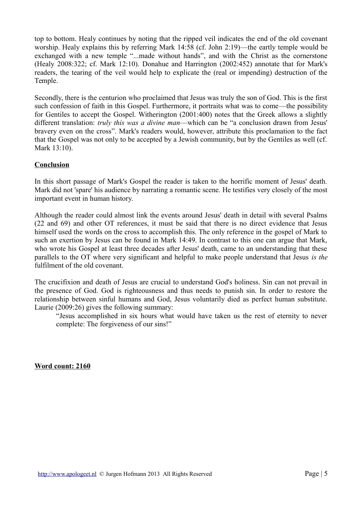top to bottom. Healy continues by noting that the ripped veil indicates the end of the old covenant worship. Healy explains this by referring Mark 14:58 (cf. John 2:19)—the eartly temple would be exchanged with a new temple "...made without hands", and with the Christ as the cornerstone (Healy 2008:322; cf. Mark 12:10). Donahue and Harrington (2002:452) annotate that for Mark's readers, the tearing of the veil would help to explicate the (real or impending) destruction of the Temple.

Secondly, there is the centurion who proclaimed that Jesus was truly the son of God. This is the first such confession of faith in this Gospel. Furthermore, it portraits what was to come—the possibility for Gentiles to accept the Gospel. Witherington (2001:400) notes that the Greek allows a slightly different translation: *truly this was a divine man*—which can be "a conclusion drawn from Jesus' bravery even on the cross". Mark's readers would, however, attribute this proclamation to the fact that the Gospel was not only to be accepted by a Jewish community, but by the Gentiles as well (cf. Mark 13:10).

### **Conclusion**

In this short passage of Mark's Gospel the reader is taken to the horrific moment of Jesus' death. Mark did not 'spare' his audience by narrating a romantic scene. He testifies very closely of the most important event in human history.

Although the reader could almost link the events around Jesus' death in detail with several Psalms (22 and 69) and other OT references, it must be said that there is no direct evidence that Jesus himself used the words on the cross to accomplish this. The only reference in the gospel of Mark to such an exertion by Jesus can be found in Mark 14:49. In contrast to this one can argue that Mark, who wrote his Gospel at least three decades after Jesus' death, came to an understanding that these parallels to the OT where very significant and helpful to make people understand that Jesus *is the* fulfilment of the old covenant.

The crucifixion and death of Jesus are crucial to understand God's holiness. Sin can not prevail in the presence of God. God is righteousness and thus needs to punish sin. In order to restore the relationship between sinful humans and God, Jesus voluntarily died as perfect human substitute. Laurie (2009:26) gives the following summary:

"Jesus accomplished in six hours what would have taken us the rest of eternity to never complete: The forgiveness of our sins!"

**Word count: 2160**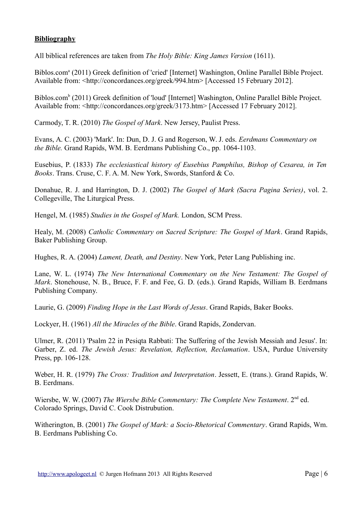# **Bibliography**

All biblical references are taken from *The Holy Bible: King James Version* (1611).

Biblos.com<sup>a</sup> (2011) Greek definition of 'cried' [Internet] Washington, Online Parallel Bible Project. Available from: <http://concordances.org/greek/994.htm> [Accessed 15 February 2012].

Biblos.com<sup>b</sup> (2011) Greek definition of 'loud' [Internet] Washington, Online Parallel Bible Project. Available from: <http://concordances.org/greek/3173.htm> [Accessed 17 February 2012].

Carmody, T. R. (2010) *The Gospel of Mark*. New Jersey, Paulist Press.

Evans, A. C. (2003) 'Mark'. In: Dun, D. J. G and Rogerson, W. J. eds. *Eerdmans Commentary on the Bible.* Grand Rapids, WM. B. Eerdmans Publishing Co., pp. 1064-1103.

Eusebius, P. (1833) *The ecclesiastical history of Eusebius Pamphilus, Bishop of Cesarea, in Ten Books*. Trans. Cruse, C. F. A. M. New York, Swords, Stanford & Co.

Donahue, R. J. and Harrington, D. J. (2002) *The Gospel of Mark (Sacra Pagina Series)*, vol. 2. Collegeville, The Liturgical Press.

Hengel, M. (1985) *Studies in the Gospel of Mark.* London, SCM Press.

Healy, M. (2008) *Catholic Commentary on Sacred Scripture: The Gospel of Mark*. Grand Rapids, Baker Publishing Group.

Hughes, R. A. (2004) *Lament, Death, and Destiny*. New York, Peter Lang Publishing inc.

Lane, W. L. (1974) *The New International Commentary on the New Testament: The Gospel of Mark*. Stonehouse, N. B., Bruce, F. F. and Fee, G. D. (eds.). Grand Rapids, William B. Eerdmans Publishing Company.

Laurie, G. (2009) *Finding Hope in the Last Words of Jesus*. Grand Rapids, Baker Books.

Lockyer, H. (1961) *All the Miracles of the Bible*. Grand Rapids, Zondervan.

Ulmer, R. (2011) 'Psalm 22 in Pesiqta Rabbati: The Suffering of the Jewish Messiah and Jesus'. In: Garber, Z. ed. *The Jewish Jesus: Revelation, Reflection, Reclamation*. USA, Purdue University Press, pp. 106-128.

Weber, H. R. (1979) *The Cross: Tradition and Interpretation*. Jessett, E. (trans.). Grand Rapids, W. B. Eerdmans.

Wiersbe, W. W. (2007) *The Wiersbe Bible Commentary: The Complete New Testament*. 2nd ed. Colorado Springs, David C. Cook Distrubution.

Witherington, B. (2001) *The Gospel of Mark: a Socio-Rhetorical Commentary*. Grand Rapids, Wm. B. Eerdmans Publishing Co.